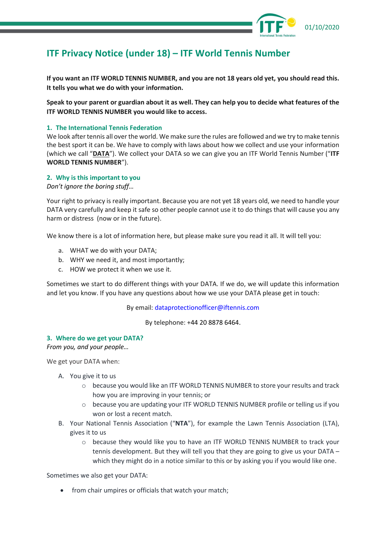

# **ITF Privacy Notice (under 18) – ITF World Tennis Number**

**If you want an ITF WORLD TENNIS NUMBER, and you are not 18 years old yet, you should read this. It tells you what we do with your information.**

**Speak to your parent or guardian about it as well. They can help you to decide what features of the ITF WORLD TENNIS NUMBER you would like to access.** 

## **1. The International Tennis Federation**

We look after tennis all over the world. We make sure the rules are followed and we try to make tennis the best sport it can be. We have to comply with laws about how we collect and use your information (which we call "**DATA**"). We collect your DATA so we can give you an ITF World Tennis Number ("**ITF WORLD TENNIS NUMBER**").

#### **2. Why is this important to you**

*Don't ignore the boring stuff…*

Your right to privacy is really important. Because you are not yet 18 years old, we need to handle your DATA very carefully and keep it safe so other people cannot use it to do things that will cause you any harm or distress (now or in the future).

We know there is a lot of information here, but please make sure you read it all. It will tell you:

- a. WHAT we do with your DATA;
- b. WHY we need it, and most importantly;
- c. HOW we protect it when we use it.

Sometimes we start to do different things with your DATA. If we do, we will update this information and let you know. If you have any questions about how we use your DATA please get in touch:

By email[: dataprotectionofficer@iftennis.com](mailto:dataprotectionofficer@iftennis.com)

By telephone: +44 20 8878 6464.

#### **3. Where do we get your DATA?**

*From you, and your people…*

We get your DATA when:

- A. You give it to us
	- $\circ$  because you would like an ITF WORLD TENNIS NUMBER to store your results and track how you are improving in your tennis; or
	- $\circ$  because you are updating your ITF WORLD TENNIS NUMBER profile or telling us if you won or lost a recent match.
- B. Your National Tennis Association ("**NTA**"), for example the Lawn Tennis Association (LTA), gives it to us
	- o because they would like you to have an ITF WORLD TENNIS NUMBER to track your tennis development. But they will tell you that they are going to give us your DATA – which they might do in a notice similar to this or by asking you if you would like one.

Sometimes we also get your DATA:

• from chair umpires or officials that watch your match;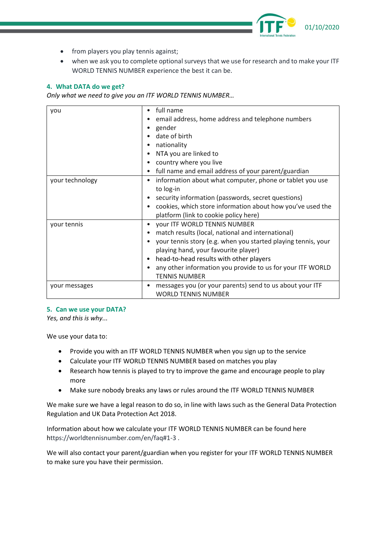

- from players you play tennis against;
- when we ask you to complete optional surveys that we use for research and to make your ITF WORLD TENNIS NUMBER experience the best it can be.

# **4. What DATA do we get?**

*Only what we need to give you an ITF WORLD TENNIS NUMBER…*

| you             | full name<br>٠                                                 |
|-----------------|----------------------------------------------------------------|
|                 | email address, home address and telephone numbers              |
|                 | gender                                                         |
|                 | date of birth                                                  |
|                 | nationality                                                    |
|                 | NTA you are linked to                                          |
|                 | country where you live                                         |
|                 | full name and email address of your parent/guardian            |
| your technology | information about what computer, phone or tablet you use<br>٠  |
|                 | to log-in                                                      |
|                 | security information (passwords, secret questions)             |
|                 | cookies, which store information about how you've used the     |
|                 | platform (link to cookie policy here)                          |
| your tennis     | your ITF WORLD TENNIS NUMBER                                   |
|                 | match results (local, national and international)<br>$\bullet$ |
|                 | your tennis story (e.g. when you started playing tennis, your  |
|                 | playing hand, your favourite player)                           |
|                 | head-to-head results with other players<br>٠                   |
|                 | any other information you provide to us for your ITF WORLD     |
|                 | <b>TENNIS NUMBER</b>                                           |
| your messages   | messages you (or your parents) send to us about your ITF       |
|                 | <b>WORLD TENNIS NUMBER</b>                                     |

## **5. Can we use your DATA?**

*Yes, and this is why...* 

We use your data to:

- Provide you with an ITF WORLD TENNIS NUMBER when you sign up to the service
- Calculate your ITF WORLD TENNIS NUMBER based on matches you play
- Research how tennis is played to try to improve the game and encourage people to play more
- Make sure nobody breaks any laws or rules around the ITF WORLD TENNIS NUMBER

We make sure we have a legal reason to do so, in line with laws such as the General Data Protection Regulation and UK Data Protection Act 2018.

Information about how we calculate your ITF WORLD TENNIS NUMBER can be found here https://worldtennisnumber.com/en/faq#1-3 .

We will also contact your parent/guardian when you register for your ITF WORLD TENNIS NUMBER to make sure you have their permission.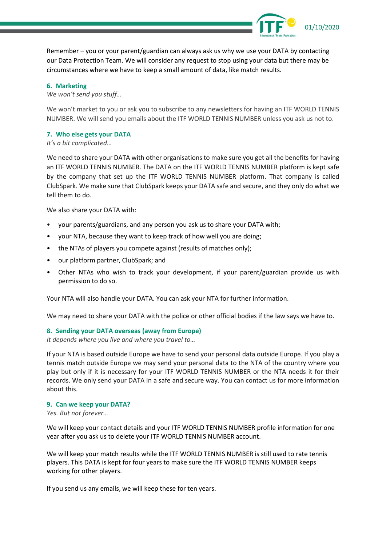

Remember – you or your parent/guardian can always ask us why we use your DATA by contacting our Data Protection Team. We will consider any request to stop using your data but there may be circumstances where we have to keep a small amount of data, like match results.

#### **6. Marketing**

*We won't send you stuff…*

We won't market to you or ask you to subscribe to any newsletters for having an ITF WORLD TENNIS NUMBER. We will send you emails about the ITF WORLD TENNIS NUMBER unless you ask us not to.

#### **7. Who else gets your DATA**

*It's a bit complicated…*

We need to share your DATA with other organisations to make sure you get all the benefits for having an ITF WORLD TENNIS NUMBER. The DATA on the ITF WORLD TENNIS NUMBER platform is kept safe by the company that set up the ITF WORLD TENNIS NUMBER platform. That company is called ClubSpark. We make sure that ClubSpark keeps your DATA safe and secure, and they only do what we tell them to do.

We also share your DATA with:

- your parents/guardians, and any person you ask us to share your DATA with;
- your NTA, because they want to keep track of how well you are doing;
- the NTAs of players you compete against (results of matches only);
- our platform partner, ClubSpark; and
- Other NTAs who wish to track your development, if your parent/guardian provide us with permission to do so.

Your NTA will also handle your DATA. You can ask your NTA for further information.

We may need to share your DATA with the police or other official bodies if the law says we have to.

#### **8. Sending your DATA overseas (away from Europe)**

*It depends where you live and where you travel to…*

If your NTA is based outside Europe we have to send your personal data outside Europe. If you play a tennis match outside Europe we may send your personal data to the NTA of the country where you play but only if it is necessary for your ITF WORLD TENNIS NUMBER or the NTA needs it for their records. We only send your DATA in a safe and secure way. You can contact us for more information about this.

#### **9. Can we keep your DATA?**

*Yes. But not forever…*

We will keep your contact details and your ITF WORLD TENNIS NUMBER profile information for one year after you ask us to delete your ITF WORLD TENNIS NUMBER account.

We will keep your match results while the ITF WORLD TENNIS NUMBER is still used to rate tennis players. This DATA is kept for four years to make sure the ITF WORLD TENNIS NUMBER keeps working for other players.

If you send us any emails, we will keep these for ten years.